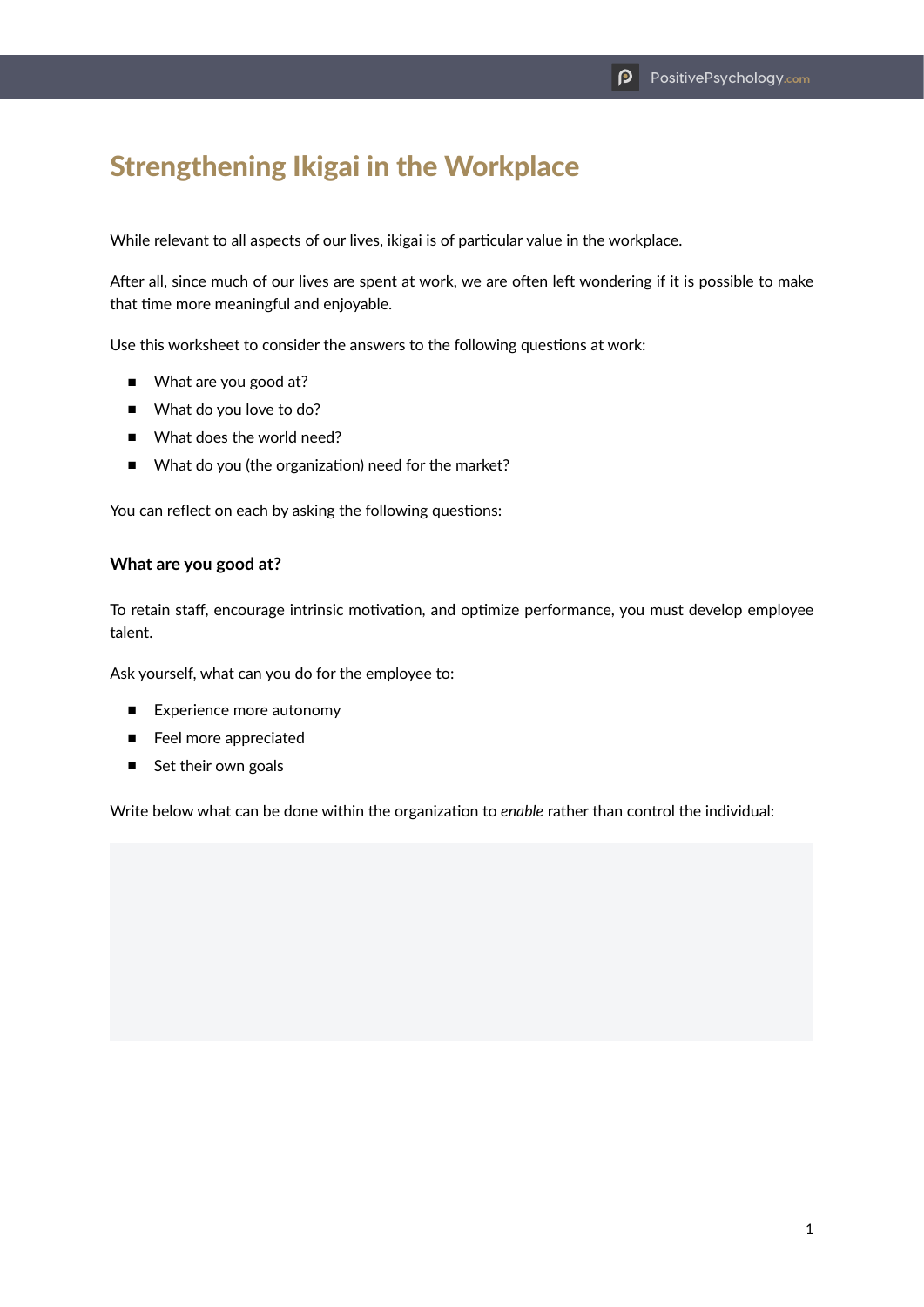# Strengthening Ikigai in the Workplace

While relevant to all aspects of our lives, ikigai is of particular value in the workplace.

After all, since much of our lives are spent at work, we are often left wondering if it is possible to make that time more meaningful and enjoyable.

Use this worksheet to consider the answers to the following questions at work:

- What are you good at?
- What do you love to do?
- What does the world need?
- What do you (the organization) need for the market?

You can reflect on each by asking the following questions:

#### **What are you good at?**

To retain staff, encourage intrinsic motivation, and optimize performance, you must develop employee talent.

Ask yourself, what can you do for the employee to:

- Experience more autonomy
- Feel more appreciated
- Set their own goals

Write below what can be done within the organization to *enable* rather than control the individual: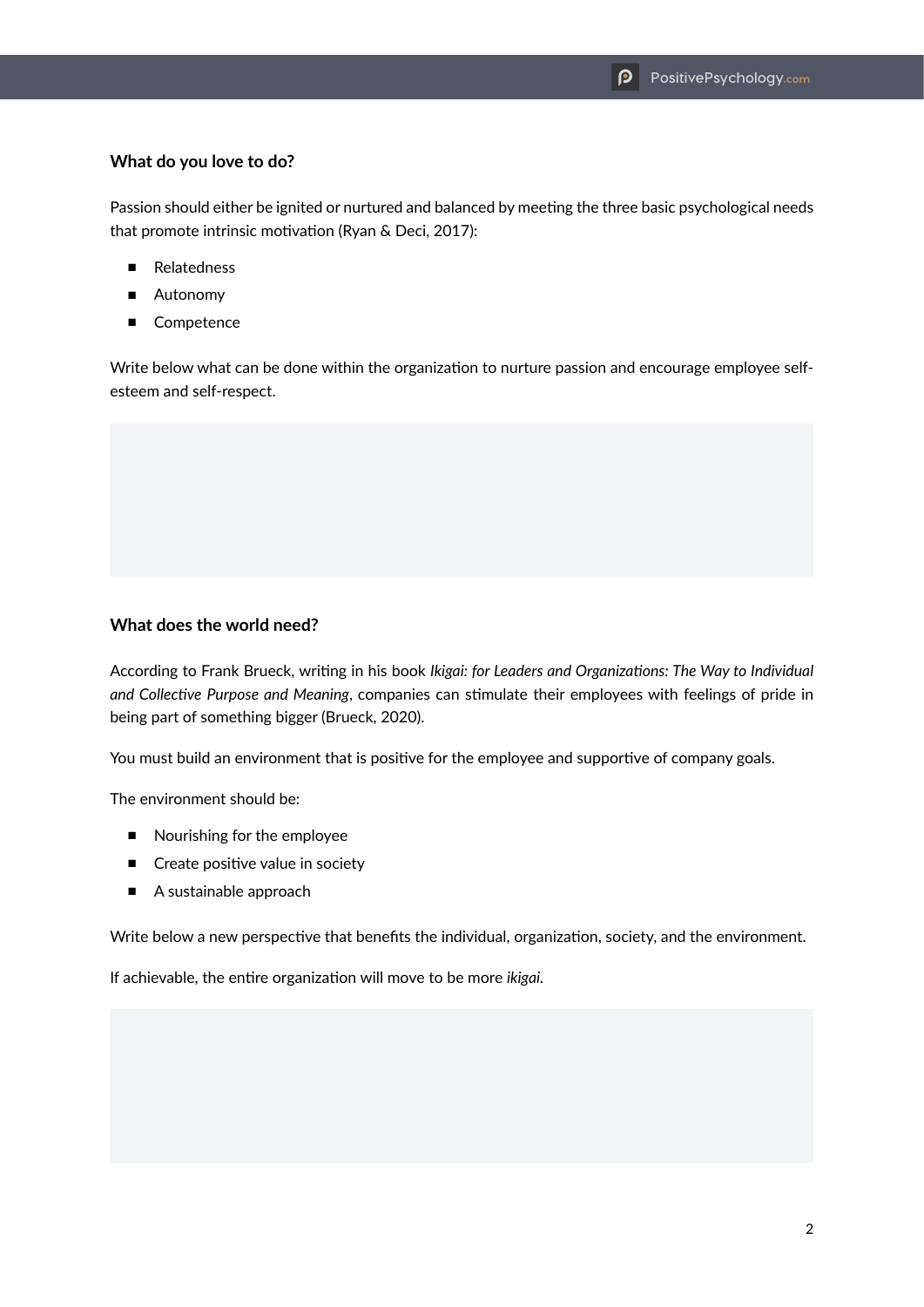## **What do you love to do?**

Passion should either be ignited or nurtured and balanced by meeting the three basic psychological needs that promote intrinsic motivation (Ryan & Deci, 2017):

- Relatedness
- Autonomy
- Competence

Write below what can be done within the organization to nurture passion and encourage employee selfesteem and self-respect.

## **What does the world need?**

According to Frank Brueck, writing in his book *Ikigai: for Leaders and Organizations: The Way to Individual and Collective Purpose and Meaning*, companies can stimulate their employees with feelings of pride in being part of something bigger (Brueck, 2020).

You must build an environment that is positive for the employee and supportive of company goals.

The environment should be:

- Nourishing for the employee
- Create positive value in society
- A sustainable approach

Write below a new perspective that benefits the individual, organization, society, and the environment.

If achievable, the entire organization will move to be more *ikigai.*